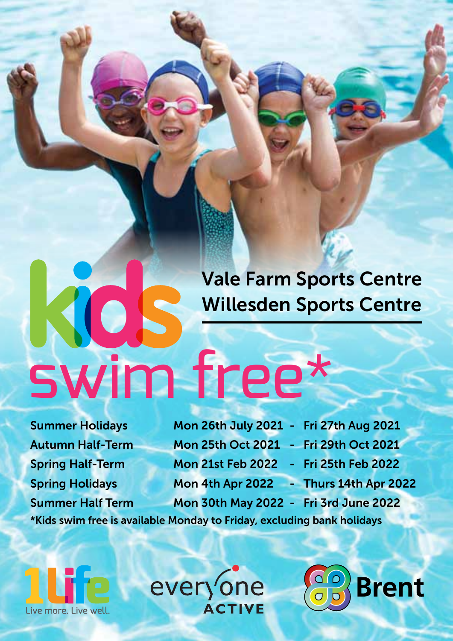# **Vale Farm Sports Centre Willesden Sports Centre**

ROS

**Summer Holidays Mon 26th July 2021 - Fri 27th Aug 2021 Autumn Half-Term Mon 25th Oct 2021 - Fri 29th Oct 2021 Spring Half-Term Mon 21st Feb 2022 - Fri 25th Feb 2022 Spring Holidays Mon 4th Apr 2022 - Thurs 14th Apr 2022 Summer Half Term Mon 30th May 2022 - Fri 3rd June 2022**

**Brent** 

**\*Kids swim free is available Monday to Friday, excluding bank holidays**

swim free\*

live more I ive well.

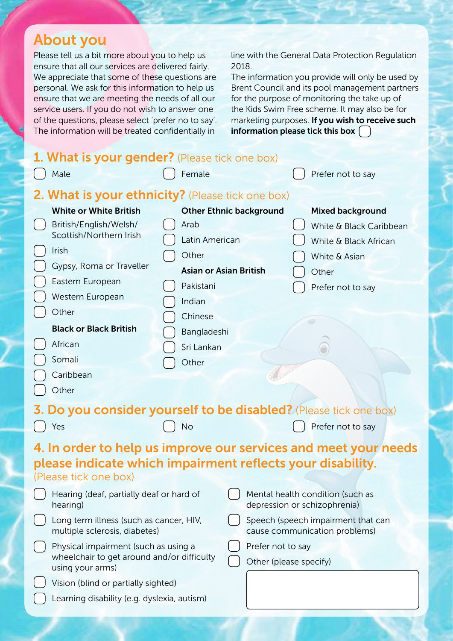# **About you**

Please tell us a bit more about you to help us ensure that all our services are delivered fairly. We appreciate that some of these questions are personal. We ask for this information to help us ensure that we are meeting the needs of all our service users. If you do not wish to answer one of the questions, please select 'prefer no to say'. The information will be treated confidentially in

line with the General Data Protection Regulation 2018.

The information you provide will only be used by Brent Council and its pool management partners for the purpose of monitoring the take up of the Kids Swim Free scheme. It may also be for marketing purposes. **If you wish to receive such information please tick this box**

| 1. What is your gender? (Please tick one box)                            |                                |                        |                                                                     |  |
|--------------------------------------------------------------------------|--------------------------------|------------------------|---------------------------------------------------------------------|--|
| Male                                                                     | Female<br>Prefer not to say    |                        |                                                                     |  |
| 2. What is your ethnicity? (Please tick one box)                         |                                |                        |                                                                     |  |
| <b>White or White British</b>                                            | <b>Other Ethnic background</b> |                        | Mixed background                                                    |  |
| British/English/Welsh/                                                   | Arab                           |                        | White & Black Caribbean                                             |  |
| Scottish/Northern Irish                                                  | Latin American                 |                        | White & Black African                                               |  |
| Irish                                                                    | Other                          |                        | White & Asian                                                       |  |
| Gypsy, Roma or Traveller                                                 | <b>Asian or Asian British</b>  |                        | Other                                                               |  |
| Eastern European                                                         | Pakistani                      |                        | Prefer not to say                                                   |  |
| Western European                                                         | Indian                         |                        |                                                                     |  |
| Other                                                                    | Chinese                        |                        |                                                                     |  |
| <b>Black or Black British</b>                                            | Bangladeshi                    |                        |                                                                     |  |
| African                                                                  | Sri Lankan                     |                        |                                                                     |  |
| Somali                                                                   | Other                          |                        |                                                                     |  |
| Caribbean                                                                |                                |                        |                                                                     |  |
| Other                                                                    |                                |                        |                                                                     |  |
| 3. Do you consider yourself to be disabled? (Please tick one box)        |                                |                        |                                                                     |  |
| Yes                                                                      | No                             |                        | Prefer not to say                                                   |  |
| 4. In order to help us improve our services and meet your needs          |                                |                        |                                                                     |  |
| please indicate which impairment reflects your disability.               |                                |                        |                                                                     |  |
| (Please tick one box)                                                    |                                |                        |                                                                     |  |
| Hearing (deaf, partially deaf or hard of<br>hearing)                     |                                |                        | Mental health condition (such as<br>depression or schizophrenia)    |  |
| Long term illness (such as cancer, HIV,<br>multiple sclerosis, diabetes) |                                |                        | Speech (speech impairment that can<br>cause communication problems) |  |
| Prefer not to say<br>Physical impairment (such as using a                |                                |                        |                                                                     |  |
| wheelchair to get around and/or difficulty<br>using your arms)           |                                | Other (please specify) |                                                                     |  |
| Vision (blind or partially sighted)                                      |                                |                        |                                                                     |  |
| Learning disability (e.g. dyslexia, autism)                              |                                |                        |                                                                     |  |
|                                                                          |                                |                        |                                                                     |  |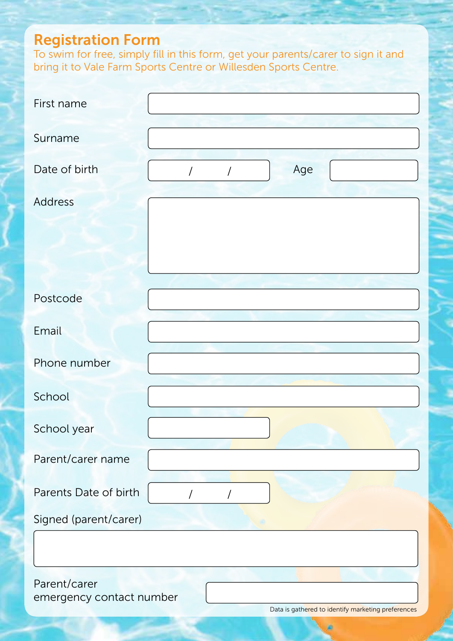## **Registration Form**

To swim for free, simply fill in this form, get your parents/carer to sign it and bring it to Vale Farm Sports Centre or Willesden Sports Centre.

| First name                                  |
|---------------------------------------------|
| Surname                                     |
| Age<br>Date of birth<br>$\overline{1}$<br>/ |
| Address                                     |
|                                             |
|                                             |
| Postcode                                    |
| Email                                       |
| Phone number                                |
| School                                      |
| School year                                 |
| Parent/carer name                           |
| Parents Date of birth<br>$\prime$<br>T      |
| Signed (parent/carer)                       |
|                                             |
| Parent/carer<br>emergency contact number    |

Data is gathered to identify marketing preferences